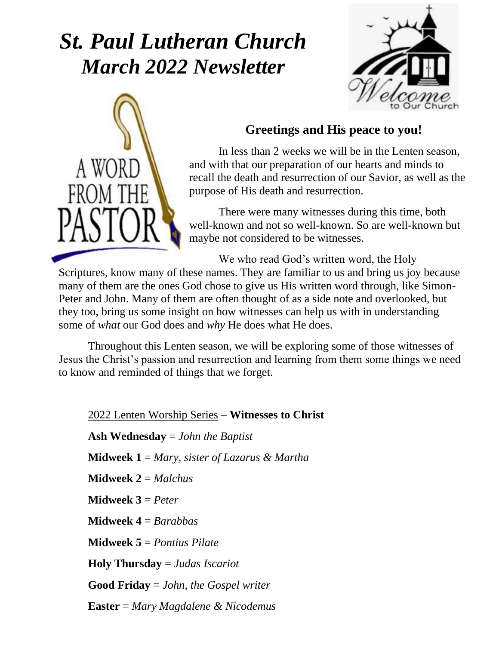### *St. Paul Lutheran Church March 2022 Newsletter*





#### **Greetings and His peace to you!**

In less than 2 weeks we will be in the Lenten season, and with that our preparation of our hearts and minds to recall the death and resurrection of our Savior, as well as the purpose of His death and resurrection.

There were many witnesses during this time, both well-known and not so well-known. So are well-known but maybe not considered to be witnesses.

We who read God's written word, the Holy

Scriptures, know many of these names. They are familiar to us and bring us joy because many of them are the ones God chose to give us His written word through, like Simon-Peter and John. Many of them are often thought of as a side note and overlooked, but they too, bring us some insight on how witnesses can help us with in understanding some of *what* our God does and *why* He does what He does.

Throughout this Lenten season, we will be exploring some of those witnesses of Jesus the Christ's passion and resurrection and learning from them some things we need to know and reminded of things that we forget.

2022 Lenten Worship Series – **Witnesses to Christ Ash Wednesday** = *John the Baptist* **Midweek 1** = *Mary, sister of Lazarus & Martha* **Midweek 2** = *Malchus* **Midweek 3** = *Peter* **Midweek 4** = *Barabbas* **Midweek 5** = *Pontius Pilate* **Holy Thursday** = *Judas Iscariot* **Good Friday** = *John, the Gospel writer* **Easter** = *Mary Magdalene & Nicodemus*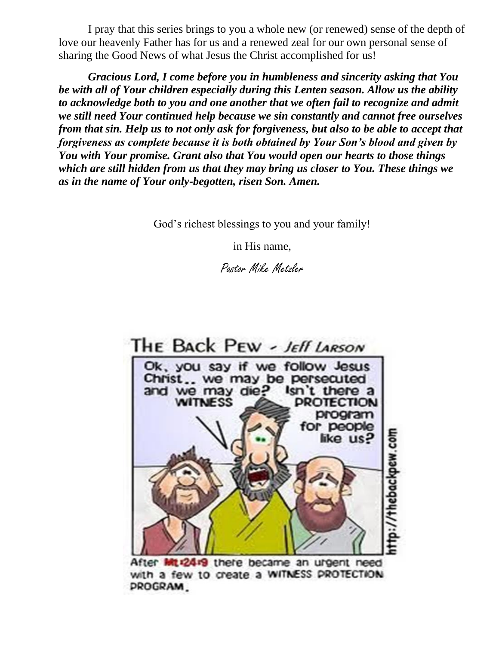I pray that this series brings to you a whole new (or renewed) sense of the depth of love our heavenly Father has for us and a renewed zeal for our own personal sense of sharing the Good News of what Jesus the Christ accomplished for us!

*Gracious Lord, I come before you in humbleness and sincerity asking that You be with all of Your children especially during this Lenten season. Allow us the ability to acknowledge both to you and one another that we often fail to recognize and admit we still need Your continued help because we sin constantly and cannot free ourselves from that sin. Help us to not only ask for forgiveness, but also to be able to accept that forgiveness as complete because it is both obtained by Your Son's blood and given by You with Your promise. Grant also that You would open our hearts to those things which are still hidden from us that they may bring us closer to You. These things we as in the name of Your only-begotten, risen Son. Amen.* 

God's richest blessings to you and your family!

in His name,

Pastor Mike Metzler



After Mt12419 there became an urgent need with a few to create a WITNESS PROTECTION **PROGRAM**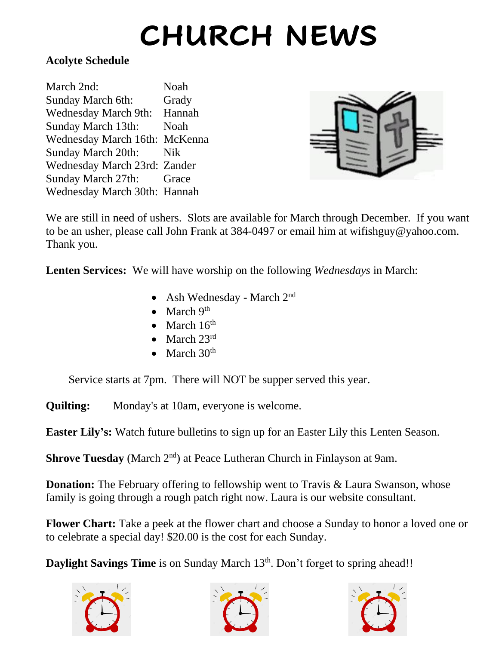# **CHURCH NEWS**

#### **Acolyte Schedule**

| March 2nd:                    | Noah   |
|-------------------------------|--------|
| Sunday March 6th:             | Grady  |
| <b>Wednesday March 9th:</b>   | Hannah |
| Sunday March 13th:            | Noah   |
| Wednesday March 16th: McKenna |        |
| Sunday March 20th:            | Nik    |
| Wednesday March 23rd: Zander  |        |
| Sunday March 27th:            | Grace  |
| Wednesday March 30th: Hannah  |        |
|                               |        |



We are still in need of ushers. Slots are available for March through December. If you want to be an usher, please call John Frank at 384-0497 or email him at wifishguy@yahoo.com. Thank you.

**Lenten Services:** We will have worship on the following *Wednesdays* in March:

- Ash Wednesday March 2<sup>nd</sup>
- March  $9<sup>th</sup>$
- March  $16<sup>th</sup>$
- March  $23^{\text{rd}}$
- March  $30<sup>th</sup>$

Service starts at 7pm. There will NOT be supper served this year.

**Quilting:** Monday's at 10am, everyone is welcome.

**Easter Lily's:** Watch future bulletins to sign up for an Easter Lily this Lenten Season.

**Shrove Tuesday** (March 2<sup>nd</sup>) at Peace Lutheran Church in Finlayson at 9am.

**Donation:** The February offering to fellowship went to Travis & Laura Swanson, whose family is going through a rough patch right now. Laura is our website consultant.

**Flower Chart:** Take a peek at the flower chart and choose a Sunday to honor a loved one or to celebrate a special day! \$20.00 is the cost for each Sunday.

**Daylight Savings Time** is on Sunday March 13<sup>th</sup>. Don't forget to spring ahead!!





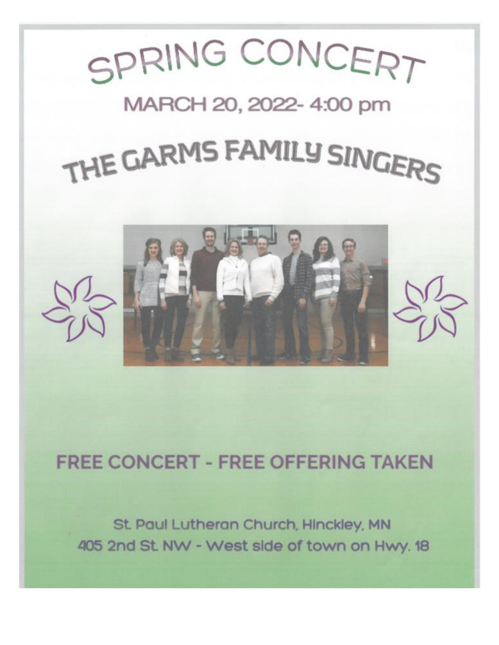

### **FREE CONCERT - FREE OFFERING TAKEN**

St. Paul Lutheran Church, Hinckley, MN 405 2nd St. NW - West side of town on Hwy. 18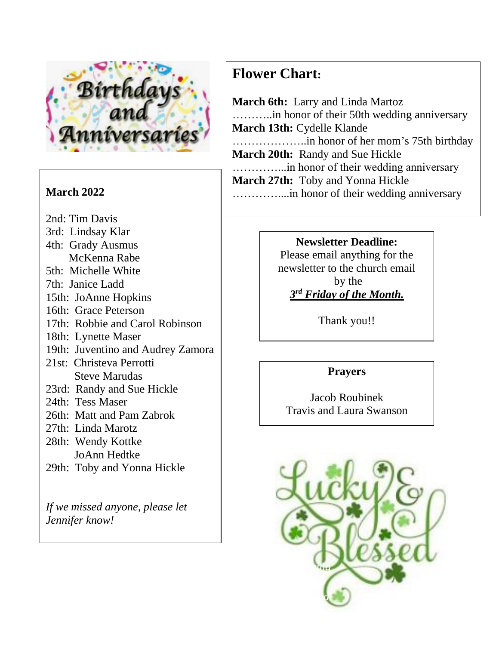

*Jennifer know!*

2nd: Tim Davis 3rd: Lindsay Klar 4th: Grady Ausmus McKenna Rabe 5th: Michelle White 7th: Janice Ladd 15th: JoAnne Hopkins 16th: Grace Peterson 17th: Robbie and Carol Robinson 18th: Lynette Maser 19th: Juventino and Audrey Zamora 21st: Christeva Perrotti Steve Marudas 23rd: Randy and Sue Hickle 24th: Tess Maser 26th: Matt and Pam Zabrok 27th: Linda Marotz 28th: Wendy Kottke JoAnn Hedtke 29th: Toby and Yonna Hickle *If we missed anyone, please let* 

#### **Flower Chart:**

**March 6th:** Larry and Linda Martoz ………..in honor of their 50th wedding anniversary **March 13th:** Cydelle Klande ………………..in honor of her mom's 75th birthday **March 20th:** Randy and Sue Hickle …………...in honor of their wedding anniversary **March 27th:** Toby and Yonna Hickle **March 2022** …………....in honor of their wedding anniversary

#### **Newsletter Deadline:**

Please email anything for the newsletter to the church email by the *3 rd Friday of the Month.*

Thank you!!

#### **Prayers**

Jacob Roubinek Travis and Laura Swanson

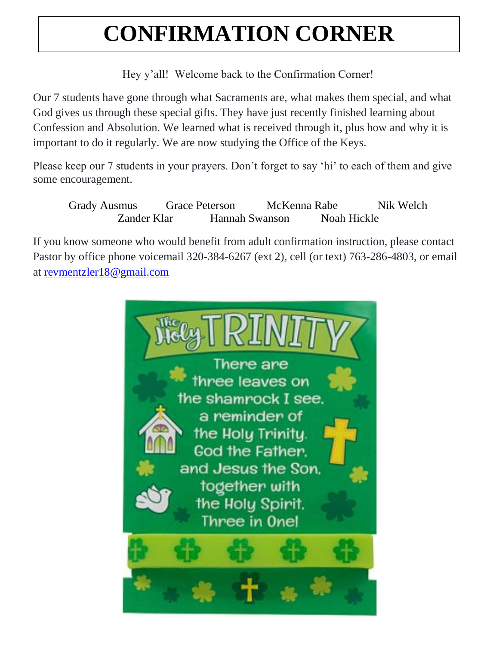## **CONFIRMATION CORNER**

Hey y'all! Welcome back to the Confirmation Corner!

Our 7 students have gone through what Sacraments are, what makes them special, and what God gives us through these special gifts. They have just recently finished learning about Confession and Absolution. We learned what is received through it, plus how and why it is important to do it regularly. We are now studying the Office of the Keys.

Please keep our 7 students in your prayers. Don't forget to say 'hi' to each of them and give some encouragement.

Grady Ausmus Grace Peterson McKenna Rabe Nik Welch Zander Klar Hannah Swanson Noah Hickle

If you know someone who would benefit from adult confirmation instruction, please contact Pastor by office phone voicemail 320-384-6267 (ext 2), cell (or text) 763-286-4803, or email at [revmentzler18@gmail.com](mailto:revmentzler18@gmail.com)

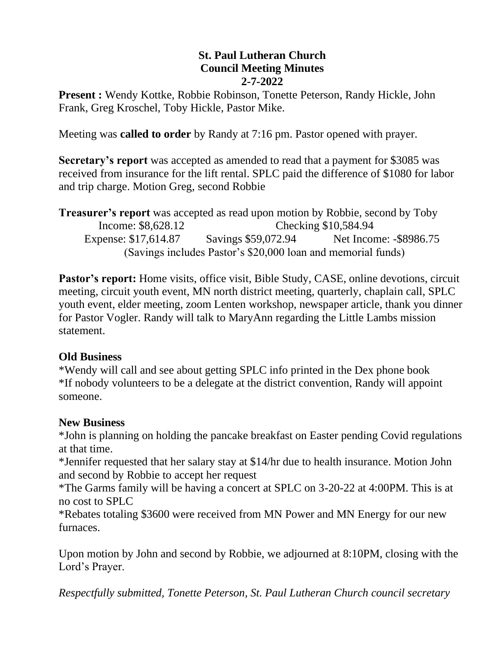#### **St. Paul Lutheran Church Council Meeting Minutes 2-7-2022**

**Present :** Wendy Kottke, Robbie Robinson, Tonette Peterson, Randy Hickle, John Frank, Greg Kroschel, Toby Hickle, Pastor Mike.

Meeting was **called to order** by Randy at 7:16 pm. Pastor opened with prayer.

**Secretary's report** was accepted as amended to read that a payment for \$3085 was received from insurance for the lift rental. SPLC paid the difference of \$1080 for labor and trip charge. Motion Greg, second Robbie

**Treasurer's report** was accepted as read upon motion by Robbie, second by Toby Income: \$8,628.12 Checking \$10,584.94 Expense: \$17,614.87 Savings \$59,072.94 Net Income: -\$8986.75 (Savings includes Pastor's \$20,000 loan and memorial funds)

Pastor's report: Home visits, office visit, Bible Study, CASE, online devotions, circuit meeting, circuit youth event, MN north district meeting, quarterly, chaplain call, SPLC youth event, elder meeting, zoom Lenten workshop, newspaper article, thank you dinner for Pastor Vogler. Randy will talk to MaryAnn regarding the Little Lambs mission statement.

#### **Old Business**

\*Wendy will call and see about getting SPLC info printed in the Dex phone book \*If nobody volunteers to be a delegate at the district convention, Randy will appoint someone.

#### **New Business**

\*John is planning on holding the pancake breakfast on Easter pending Covid regulations at that time.

\*Jennifer requested that her salary stay at \$14/hr due to health insurance. Motion John and second by Robbie to accept her request

\*The Garms family will be having a concert at SPLC on 3-20-22 at 4:00PM. This is at no cost to SPLC

\*Rebates totaling \$3600 were received from MN Power and MN Energy for our new furnaces.

Upon motion by John and second by Robbie, we adjourned at 8:10PM, closing with the Lord's Prayer.

*Respectfully submitted, Tonette Peterson, St. Paul Lutheran Church council secretary*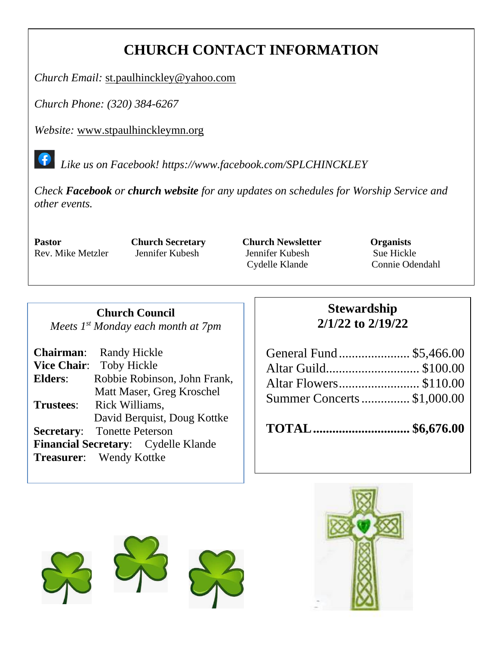### **CHURCH CONTACT INFORMATION**

*Church Email:* [st.paulhinckley@yahoo.com](mailto:st.paulhinckley@yahoo.com)

*Church Phone: (320) 384-6267*

*Website:* [www.stpaulhinckleymn.org](http://www.stpaulhinckleymn.org/)

 *Like us on Facebook!<https://www.facebook.com/SPLCHINCKLEY>*

*Check Facebook or church website for any updates on schedules for Worship Service and other events.* 

 $\bullet$ 

**Pastor Church Secretary Church Newsletter Organists** Rev. Mike Metzler Jennifer Kubesh Jennifer Kubesh Sue Hickle Cydelle Klande Connie Odendahl

**Church Council** *Meets 1 st Monday each month at 7pm*

| <b>Chairman:</b> Randy Hickle              |
|--------------------------------------------|
| <b>Toby Hickle</b><br><b>Vice Chair:</b>   |
| Robbie Robinson, John Frank,               |
| Matt Maser, Greg Kroschel                  |
| Rick Williams,                             |
| David Berquist, Doug Kottke                |
| <b>Secretary:</b> Tonette Peterson         |
| <b>Financial Secretary:</b> Cydelle Klande |
| <b>Treasurer:</b> Wendy Kottke             |
|                                            |

#### **Stewardship 2/1/22 to 2/19/22**

| General Fund  \$5,466.00   |  |
|----------------------------|--|
| Altar Guild \$100.00       |  |
|                            |  |
| Summer Concerts \$1,000.00 |  |
|                            |  |

**TOTAL.............................. \$6,676.00**



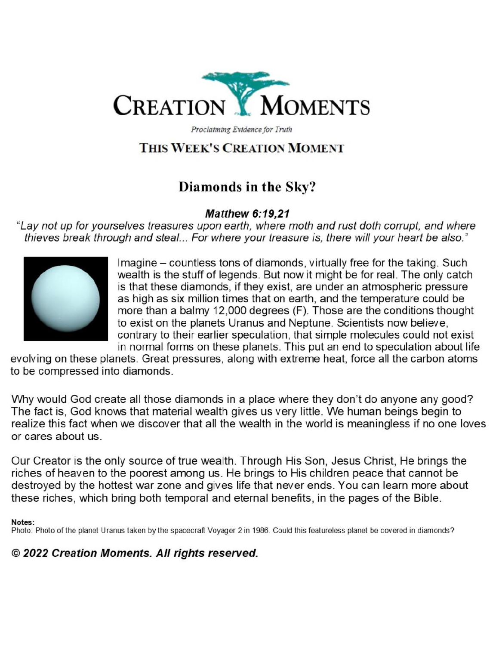

Proclaiming Evidence for Truth

#### THIS WEEK'S CREATION MOMENT

#### Diamonds in the Sky?

#### **Matthew 6:19,21**

"Lay not up for yourselves treasures upon earth, where moth and rust doth corrupt, and where thieves break through and steal... For where your treasure is, there will your heart be also."



Imagine – countless tons of diamonds, virtually free for the taking. Such wealth is the stuff of legends. But now it might be for real. The only catch is that these diamonds, if they exist, are under an atmospheric pressure as high as six million times that on earth, and the temperature could be more than a balmy 12,000 degrees (F). Those are the conditions thought to exist on the planets Uranus and Neptune. Scientists now believe, contrary to their earlier speculation, that simple molecules could not exist in normal forms on these planets. This put an end to speculation about life

evolving on these planets. Great pressures, along with extreme heat, force all the carbon atoms to be compressed into diamonds.

Why would God create all those diamonds in a place where they don't do anyone any good? The fact is, God knows that material wealth gives us very little. We human beings begin to realize this fact when we discover that all the wealth in the world is meaningless if no one loves or cares about us

Our Creator is the only source of true wealth. Through His Son, Jesus Christ, He brings the riches of heaven to the poorest among us. He brings to His children peace that cannot be destroyed by the hottest war zone and gives life that never ends. You can learn more about these riches, which bring both temporal and eternal benefits, in the pages of the Bible.

#### Notes:

Photo: Photo of the planet Uranus taken by the spacecraft Voyager 2 in 1986. Could this featureless planet be covered in diamonds?

#### © 2022 Creation Moments. All rights reserved.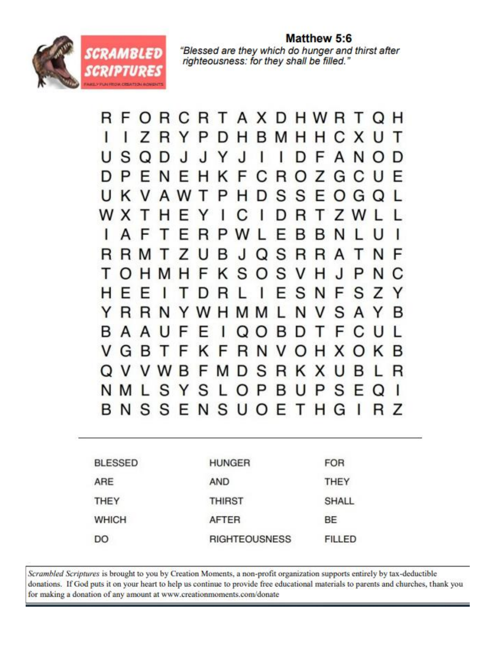

Matthew 5:6 "Blessed are they which do hunger and thirst after righteousness: for they shall be filled."

R F ORCRTAXDHWRT O H ı Ζ R YPD  $H$ B M H H 1 С X U Τ S U O D Л.  $\mathbf{I}$ . I ı ı D F A N D Y F D P R F N F н Ζ ĸ С O G E G S S U ĸ A P Е w I. н  $\Box$ G W X D R т 7 ь C Y B F P w в N А F R S R в J R R N F R Т 7  $\mathbf{I}$ O А Т S S т F ĸ v н P N C M н O . I  $\Omega$ н S E N F S н 1 F F L 7 т D R Y S N N Y R R w M v A В н M Y В в A U F D T O  $\mathcal{L}$ v G F N в -1 F κ R v  $\left( \right)$ н x ĸ в S Ω V V W B F R κ R M D x в S S P N M L B S Y L U P F  $\Omega$ BNSSENSUOE T. H Z G R L

| <b>BLESSED</b> | <b>HUNGER</b>        | <b>FOR</b>    |  |
|----------------|----------------------|---------------|--|
| ARE            | <b>AND</b>           | THEY          |  |
| <b>THEY</b>    | <b>THIRST</b>        | <b>SHALL</b>  |  |
| <b>WHICH</b>   | <b>AFTER</b>         | <b>BE</b>     |  |
| DO             | <b>RIGHTEOUSNESS</b> | <b>FILLED</b> |  |
|                |                      |               |  |

Scrambled Scriptures is brought to you by Creation Moments, a non-profit organization supports entirely by tax-deductible donations. If God puts it on your heart to help us continue to provide free educational materials to parents and churches, thank you for making a donation of any amount at www.creationmoments.com/donate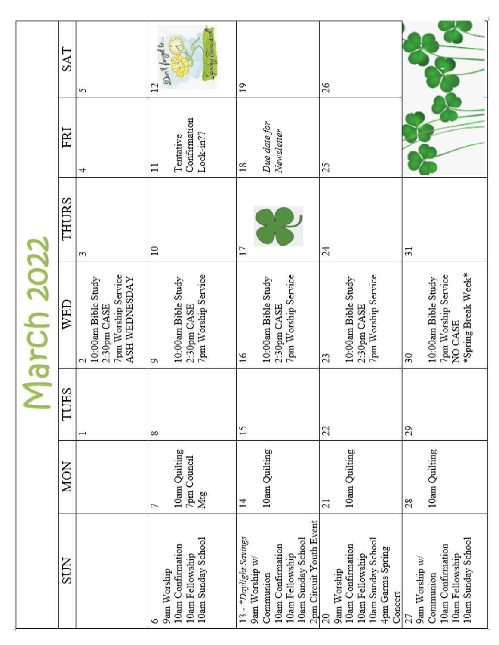|                                                                                                                                                |                                          |                          | ე<br>რ                                                                             |                 |                                                |                                          |
|------------------------------------------------------------------------------------------------------------------------------------------------|------------------------------------------|--------------------------|------------------------------------------------------------------------------------|-----------------|------------------------------------------------|------------------------------------------|
| <b>SUN</b>                                                                                                                                     | <b>MON</b>                               | TUES                     | WED                                                                                | THURS           | FRI                                            | SAT                                      |
|                                                                                                                                                |                                          | $\overline{\phantom{0}}$ | 7pm Worship Service<br>ASH WEDNESDAY<br>10:00am Bible Study<br>2:30pm CASE<br>C    | S               | 4                                              | 5                                        |
| 10am Sunday School<br>10am Confirmation<br>10am Fellowship<br>9am Worship                                                                      | 10am Quilting<br>7pm Council<br>Mtg<br>ſ | $\infty$                 | 7pm Worship Service<br>10:00am Bible Study<br>2:30pm CASE<br>٥                     | $\approx$       | Confirmation<br>Lock-m??<br>Tentative<br>$\Xi$ | Speing Forward<br>Don't forget to.<br>12 |
| 2pm Circuit Youth Event<br>13 - *Daylight Savings<br>10am Sunday School<br>10am Confirmation<br>10am Fellowship<br>9am Worship w/<br>Communion | 10am Quilting<br>4                       | $^{15}$                  | 7pm Worship Service<br>10:00am Bible Study<br>2:30pm CASE<br>$\approx$             | Ξ               | Due date for<br>Newsletter<br>$\frac{8}{18}$   | $\overline{1}$                           |
| 10am Sunday School<br>10am Confirmation<br>4pm Garms Spring<br>10am Fellowship<br>9am Worship<br>Concert<br>20                                 | 10am Quilting<br>$\overline{21}$         | 22                       | 7pm Worship Service<br>10:00am Bible Study<br>2:30pm CASE<br>23                    | 24              | 25                                             | 26                                       |
| 10am Sunday School<br>10am Confirmation<br>10am Fellowship<br>9am Worship w/<br>Communion<br>27                                                | 10am Quilting<br>28                      | 29                       | *Spring Break Week*<br>7pm Worship Service<br>10:00am Bible Study<br>NO CASE<br>30 | $\overline{31}$ |                                                |                                          |

۹

d